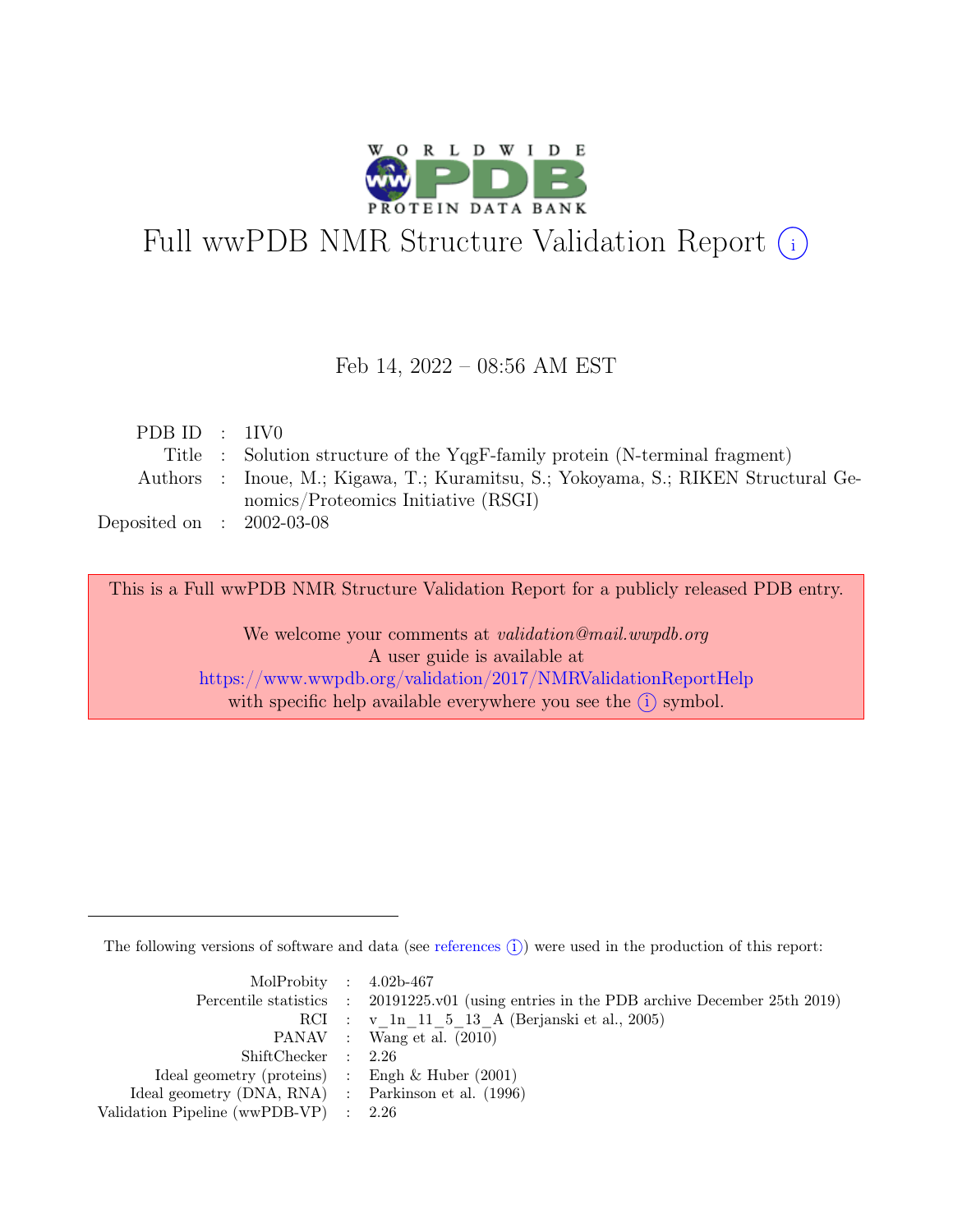

# Full wwPDB NMR Structure Validation Report (i)

#### Feb 14, 2022 – 08:56 AM EST

| PDBID : 1IV0                |                                                                                    |
|-----------------------------|------------------------------------------------------------------------------------|
|                             | Title : Solution structure of the YqgF-family protein (N-terminal fragment)        |
|                             | Authors : Inoue, M.; Kigawa, T.; Kuramitsu, S.; Yokoyama, S.; RIKEN Structural Ge- |
|                             | nomics/Proteomics Initiative (RSGI)                                                |
| Deposited on : $2002-03-08$ |                                                                                    |

This is a Full wwPDB NMR Structure Validation Report for a publicly released PDB entry.

We welcome your comments at *validation@mail.wwpdb.org* A user guide is available at <https://www.wwpdb.org/validation/2017/NMRValidationReportHelp> with specific help available everywhere you see the  $(i)$  symbol.

The following versions of software and data (see [references](https://www.wwpdb.org/validation/2017/NMRValidationReportHelp#references)  $\hat{I}$ ) were used in the production of this report:

| MolProbity : $4.02b-467$                            |                                                                                            |
|-----------------------------------------------------|--------------------------------------------------------------------------------------------|
|                                                     | Percentile statistics : 20191225.v01 (using entries in the PDB archive December 25th 2019) |
|                                                     | RCI : v 1n 11 5 13 A (Berjanski et al., 2005)                                              |
|                                                     | PANAV : Wang et al. (2010)                                                                 |
| ShiftChecker : 2.26                                 |                                                                                            |
| Ideal geometry (proteins) : Engh $\&$ Huber (2001)  |                                                                                            |
| Ideal geometry (DNA, RNA) : Parkinson et al. (1996) |                                                                                            |
| Validation Pipeline (wwPDB-VP) $\therefore$ 2.26    |                                                                                            |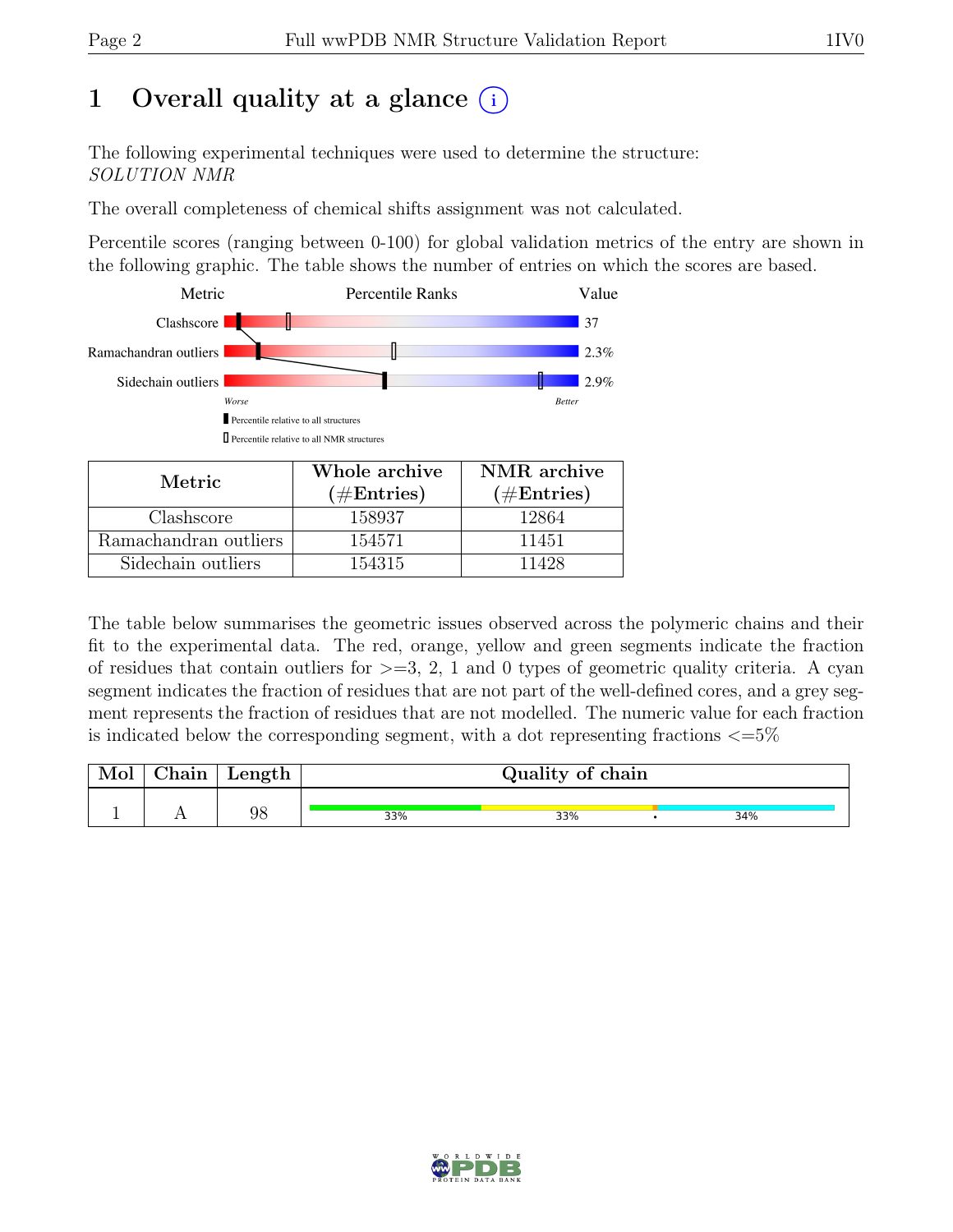## 1 Overall quality at a glance  $(i)$

The following experimental techniques were used to determine the structure: SOLUTION NMR

The overall completeness of chemical shifts assignment was not calculated.

Percentile scores (ranging between 0-100) for global validation metrics of the entry are shown in the following graphic. The table shows the number of entries on which the scores are based.



| Metric.               | Whole archive | NMR archive   |
|-----------------------|---------------|---------------|
|                       | $(\#Entries)$ | $(\#Entries)$ |
| Clashscore            | 158937        | 12864         |
| Ramachandran outliers | 154571        | 11451         |
| Sidechain outliers    | 154315        | 11428         |

The table below summarises the geometric issues observed across the polymeric chains and their fit to the experimental data. The red, orange, yellow and green segments indicate the fraction of residues that contain outliers for  $>=$  3, 2, 1 and 0 types of geometric quality criteria. A cyan segment indicates the fraction of residues that are not part of the well-defined cores, and a grey segment represents the fraction of residues that are not modelled. The numeric value for each fraction is indicated below the corresponding segment, with a dot representing fractions  $\langle=5\%$ 

|                         | Quality of chain | Length | hain! |  |
|-------------------------|------------------|--------|-------|--|
| 98<br>34%<br>33%<br>33% |                  |        |       |  |

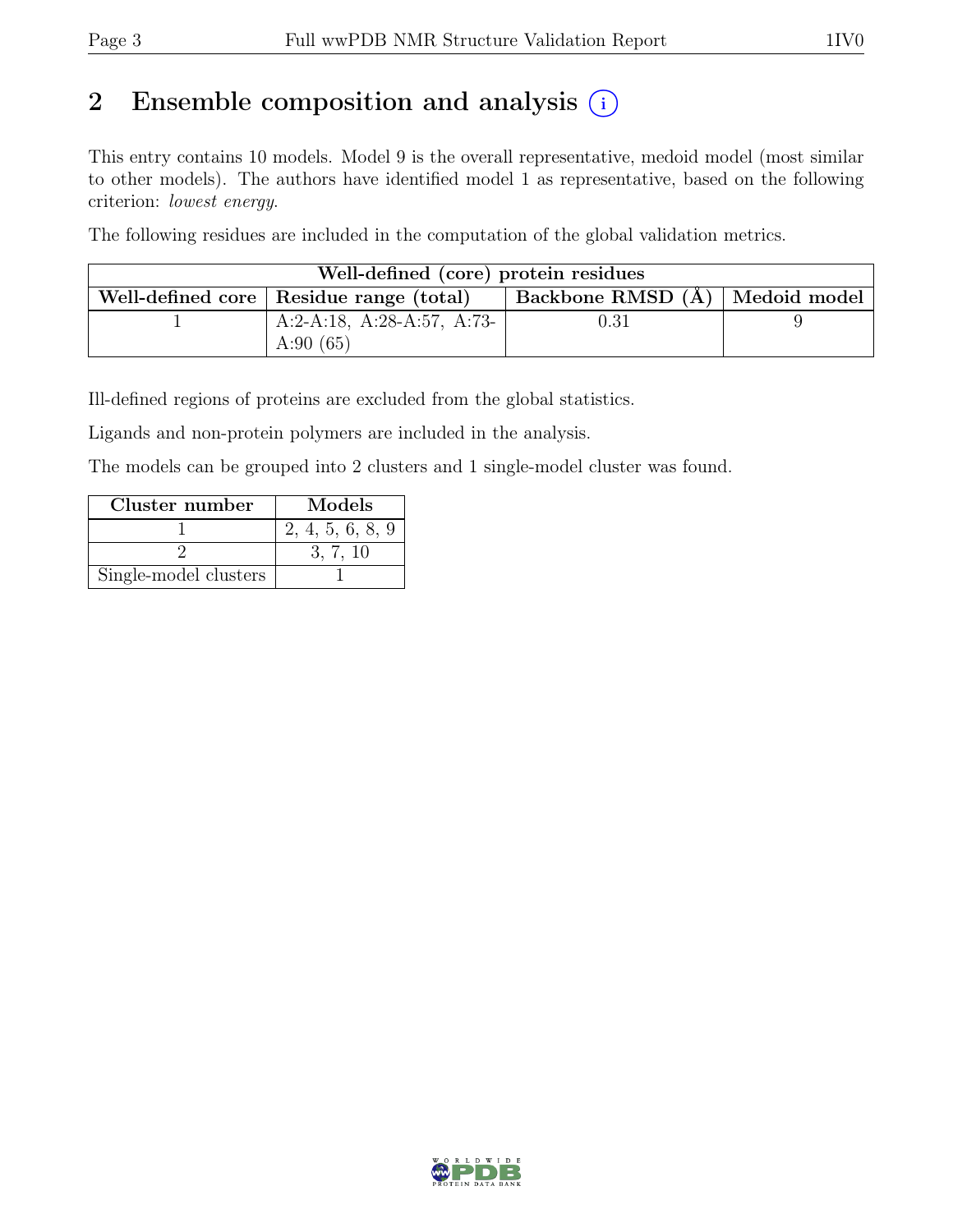## 2 Ensemble composition and analysis  $(i)$

This entry contains 10 models. Model 9 is the overall representative, medoid model (most similar to other models). The authors have identified model 1 as representative, based on the following criterion: lowest energy.

The following residues are included in the computation of the global validation metrics.

| Well-defined (core) protein residues      |                                |  |
|-------------------------------------------|--------------------------------|--|
| Well-defined core   Residue range (total) | Backbone RMSD (Å) Medoid model |  |
| A:2-A:18, A:28-A:57, A:73-                | $\rm 0.31$                     |  |
| A:90 $(65)$                               |                                |  |

Ill-defined regions of proteins are excluded from the global statistics.

Ligands and non-protein polymers are included in the analysis.

The models can be grouped into 2 clusters and 1 single-model cluster was found.

| Cluster number        | Models           |
|-----------------------|------------------|
|                       | 2, 4, 5, 6, 8, 9 |
|                       | 3.7.10           |
| Single-model clusters |                  |

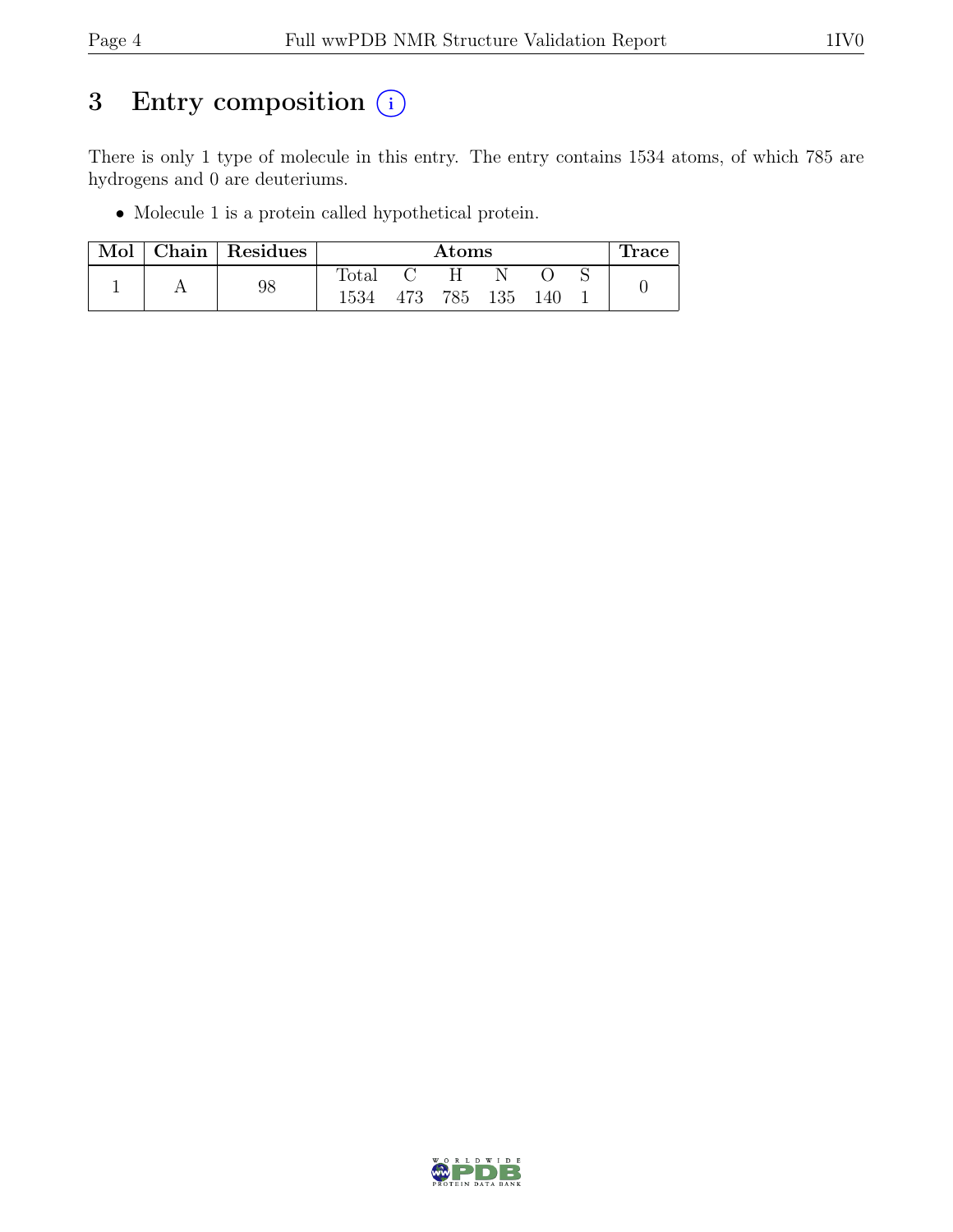## 3 Entry composition  $\circled{\scriptstyle i}$

There is only 1 type of molecule in this entry. The entry contains 1534 atoms, of which 785 are hydrogens and 0 are deuteriums.

• Molecule 1 is a protein called hypothetical protein.

| Mol | Chain Residues |                | $\rm{Atoms}$ |     | Trace |
|-----|----------------|----------------|--------------|-----|-------|
|     |                | $\text{Total}$ | . н.         |     |       |
|     | 98             | 1534           | 473 785 135  | 140 |       |

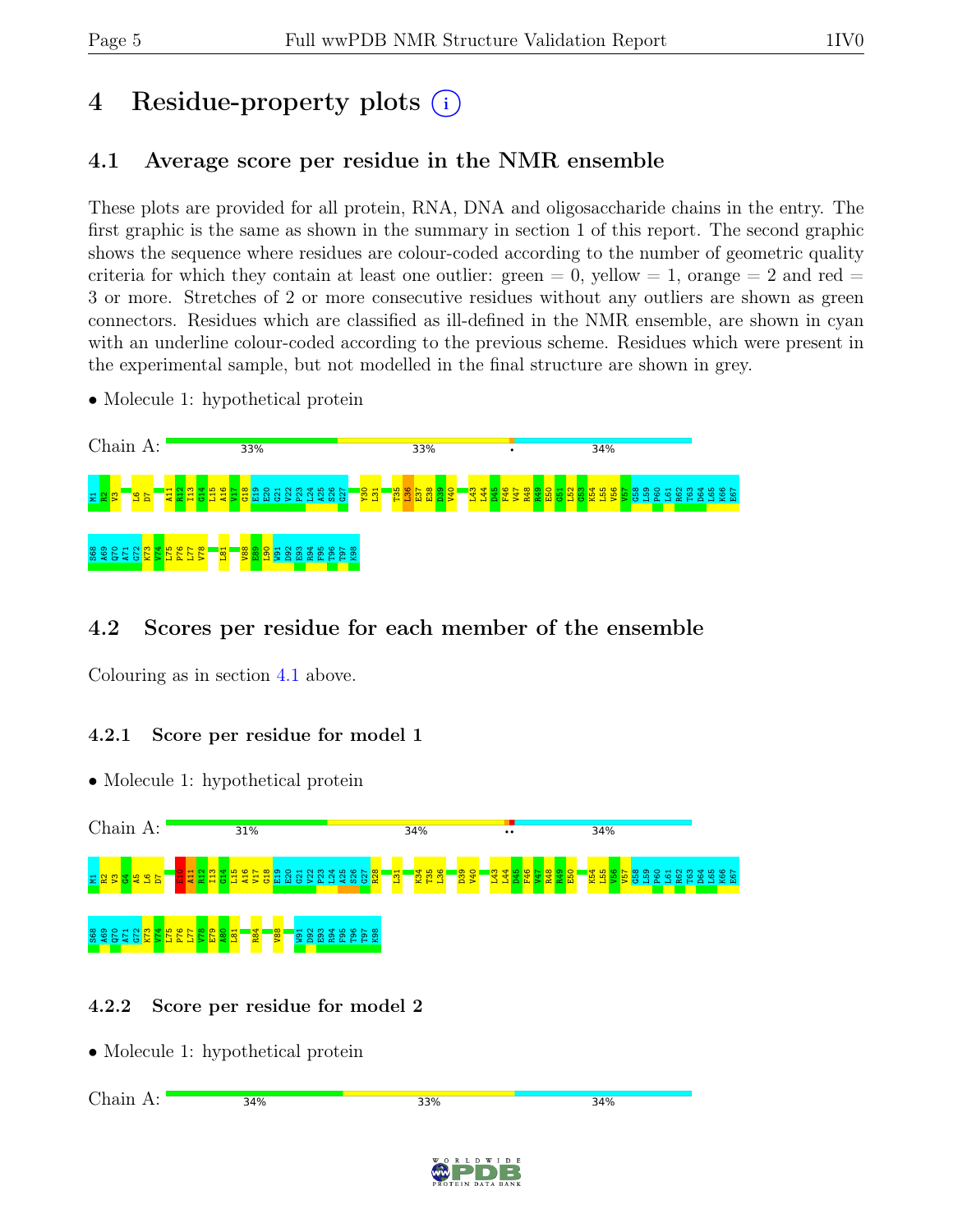# 4 Residue-property plots (i)

#### <span id="page-4-0"></span>4.1 Average score per residue in the NMR ensemble

These plots are provided for all protein, RNA, DNA and oligosaccharide chains in the entry. The first graphic is the same as shown in the summary in section 1 of this report. The second graphic shows the sequence where residues are colour-coded according to the number of geometric quality criteria for which they contain at least one outlier:  $green = 0$ ,  $yellow = 1$ ,  $orange = 2$  and  $red =$ 3 or more. Stretches of 2 or more consecutive residues without any outliers are shown as green connectors. Residues which are classified as ill-defined in the NMR ensemble, are shown in cyan with an underline colour-coded according to the previous scheme. Residues which were present in the experimental sample, but not modelled in the final structure are shown in grey.

• Molecule 1: hypothetical protein



#### 4.2 Scores per residue for each member of the ensemble

Colouring as in section [4.1](#page-4-0) above.

#### 4.2.1 Score per residue for model 1

• Molecule 1: hypothetical protein



#### 4.2.2 Score per residue for model 2

• Molecule 1: hypothetical protein



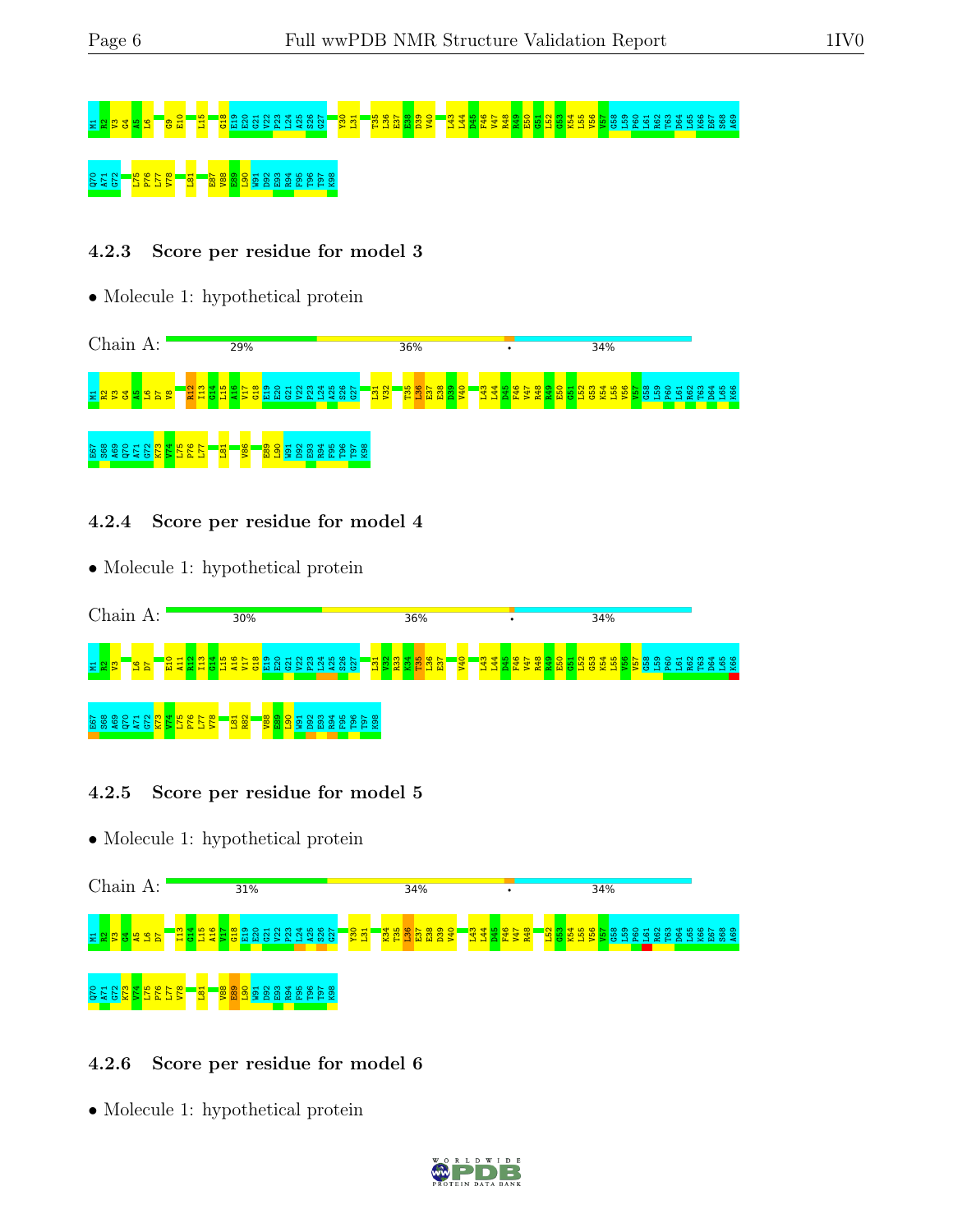# M1R2V3G4A5L6G9E10 L15 G18 E19 E20 G21 V22 P23 L24 A25 S26 G27 Y30 L31 T35 L36 E37 E38 D39 V40 L43 L44 D45 F46 V47 R48 R49 E50 G51 L52 G53 K54 L55 V56 V57 G58 L59 P60 L61 R62 T63 D64 L65 K66 E67 S68 A69 <mark>ិត ខេត្ត P7</mark><br>ក្នុង <mark>ខេត្ត P</mark>8 មិន មិន មិន E

#### 4.2.3 Score per residue for model 3

• Molecule 1: hypothetical protein



#### 4.2.4 Score per residue for model 4

• Molecule 1: hypothetical protein



#### 4.2.5 Score per residue for model 5

• Molecule 1: hypothetical protein



#### 4.2.6 Score per residue for model 6

• Molecule 1: hypothetical protein

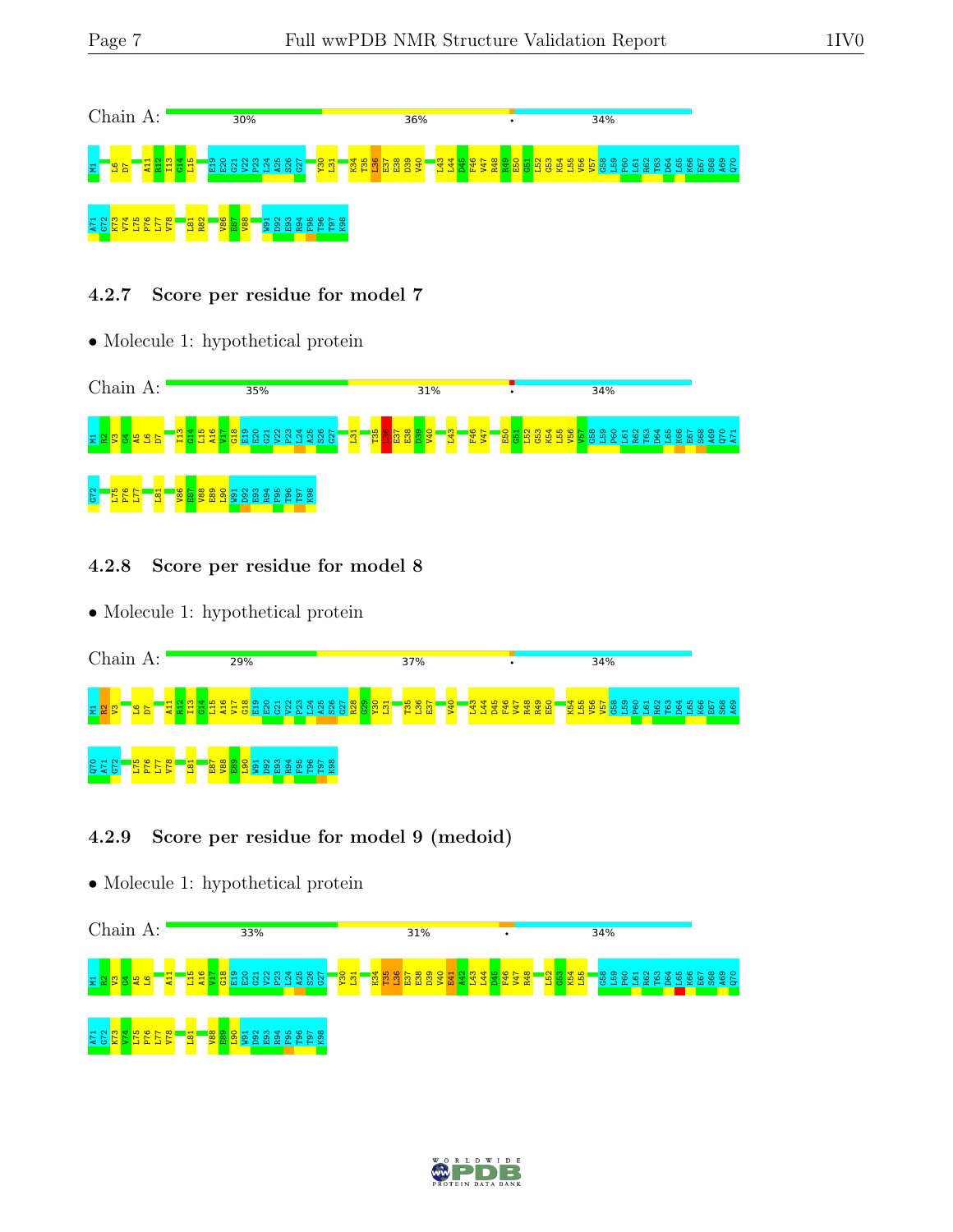

#### 4.2.7 Score per residue for model 7

• Molecule 1: hypothetical protein



#### 4.2.8 Score per residue for model 8

• Molecule 1: hypothetical protein

| Chain A:          |                 |                                 |             |                     |   |    | 29% |   |     |                |           |   |    |              |  |                      | 37% |                                     |           |  |   | ٠ |  |  |   | 34% |    |  |            |  |  |                      |
|-------------------|-----------------|---------------------------------|-------------|---------------------|---|----|-----|---|-----|----------------|-----------|---|----|--------------|--|----------------------|-----|-------------------------------------|-----------|--|---|---|--|--|---|-----|----|--|------------|--|--|----------------------|
| 불월                | $\frac{26}{10}$ | $\frac{11}{11}$ $\frac{13}{11}$ |             | ₩<br>÷<br><b>c5</b> |   | a. |     | m | Tr1 | <b>C5</b><br>- |           |   | Æ. | ဖေ<br>$\tau$ |  | <b><u>saggar</u></b> |     | <b>kg</b><br><b>agg</b><br><b>a</b> | <b>0P</b> |  | ò |   |  |  | 5 |     | lе |  | $\alpha$ H |  |  | ∞ ာ<br>ന<br>$m \neq$ |
| <b>275</b><br>275 | Ξī<br>$\Delta$  |                                 | $\mathbf -$ |                     | 留 |    |     | × |     | m              | بہ<br>Tr. | - |    |              |  |                      |     |                                     |           |  |   |   |  |  |   |     |    |  |            |  |  |                      |

#### 4.2.9 Score per residue for model 9 (medoid)

• Molecule 1: hypothetical protein



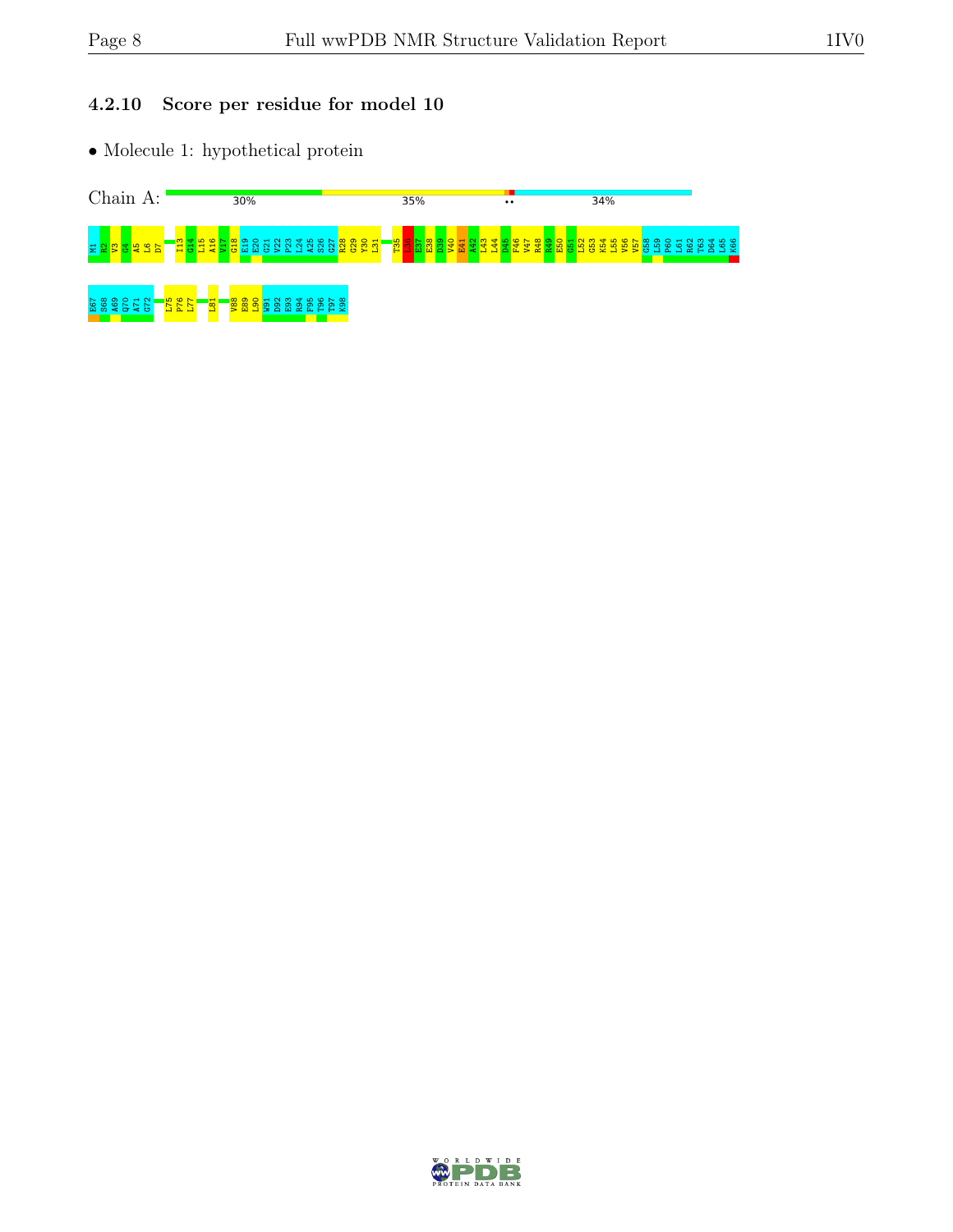#### 4.2.10 Score per residue for model 10

 $\bullet$  Molecule 1: hypothetical protein



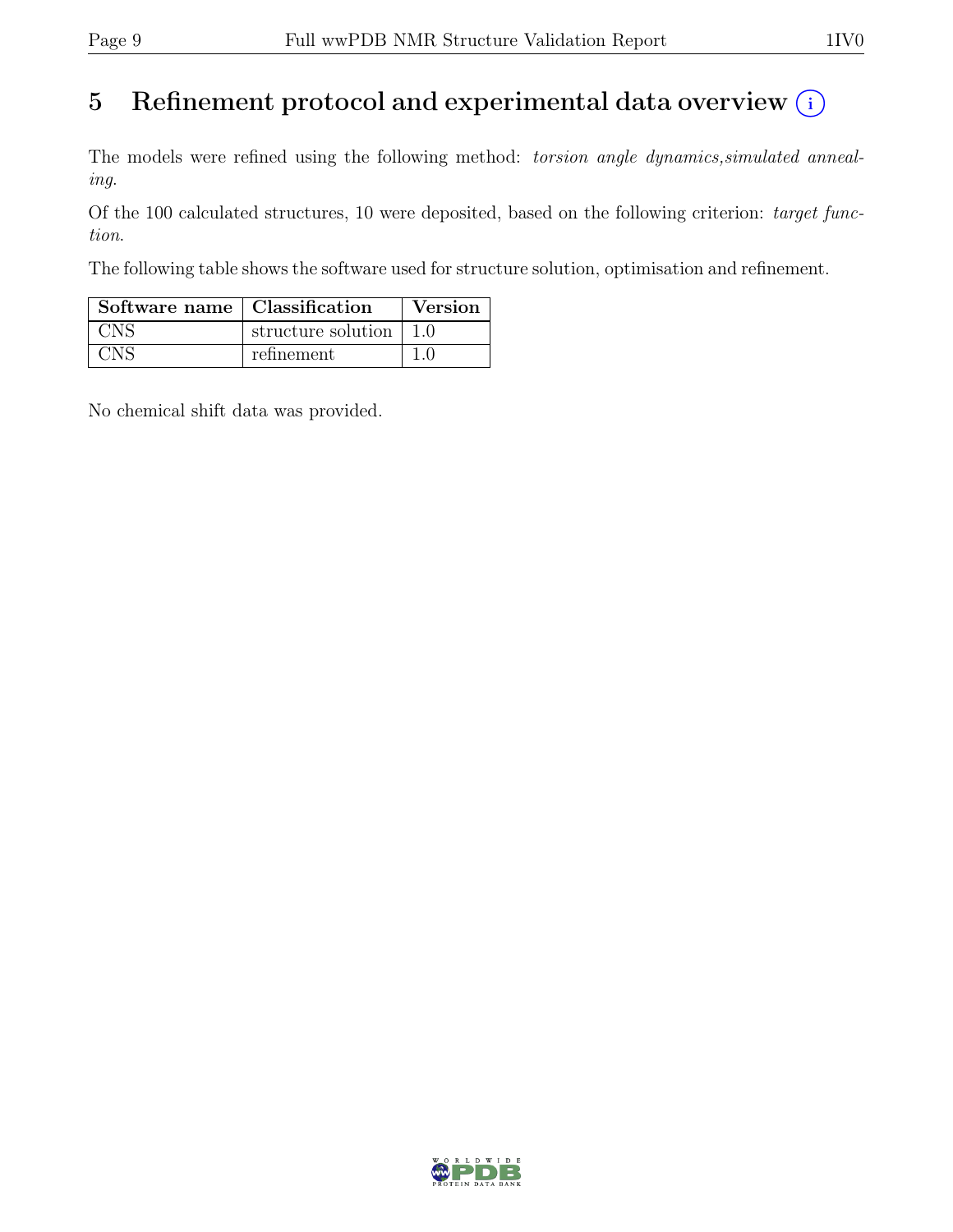## 5 Refinement protocol and experimental data overview  $(i)$

The models were refined using the following method: *torsion angle dynamics,simulated anneal*ing.

Of the 100 calculated structures, 10 were deposited, based on the following criterion: target function.

The following table shows the software used for structure solution, optimisation and refinement.

| Software name   Classification |                    | Version |
|--------------------------------|--------------------|---------|
| CNS                            | structure solution |         |
| NNS                            | refinement         |         |

No chemical shift data was provided.

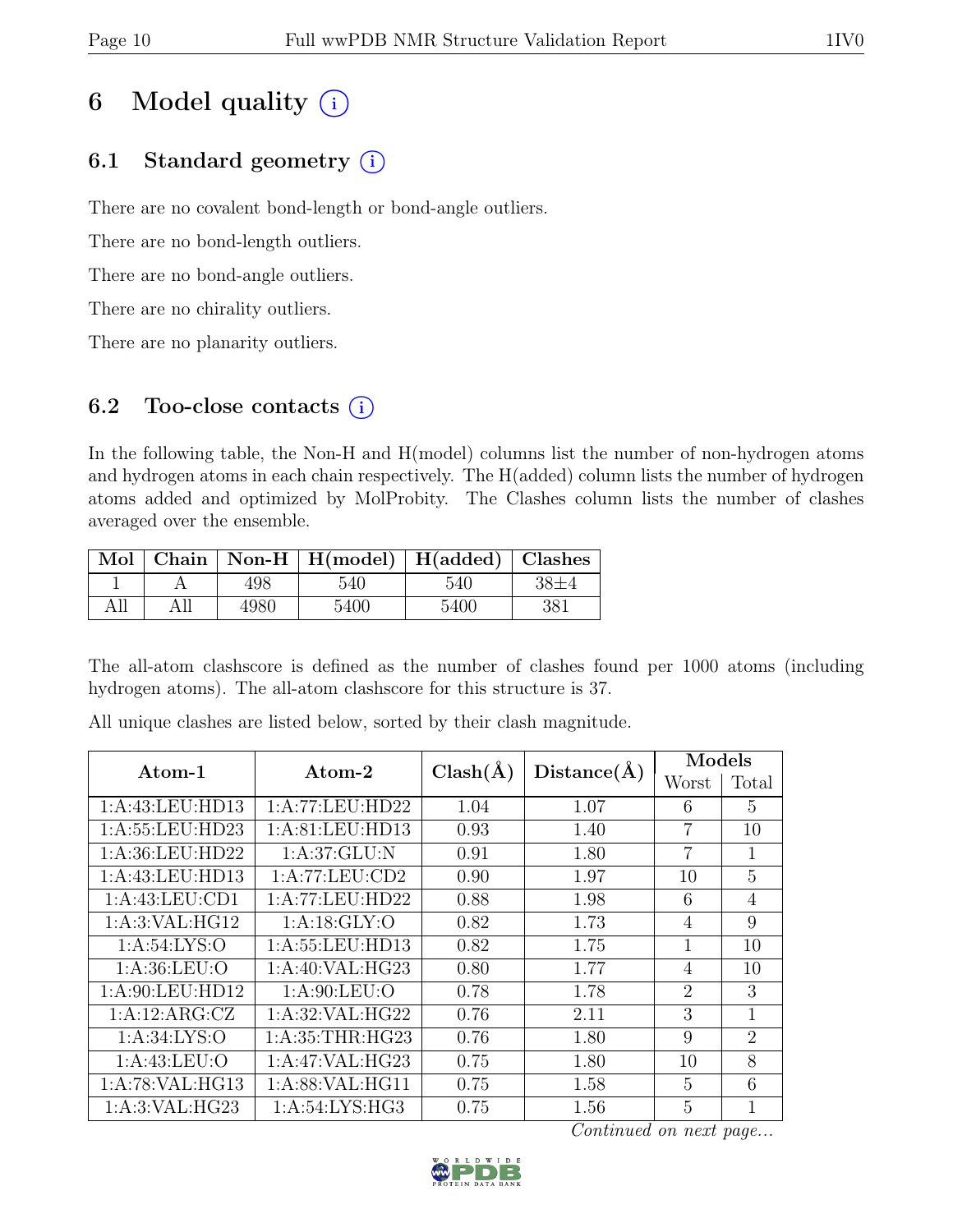## 6 Model quality  $(i)$

## 6.1 Standard geometry  $(i)$

There are no covalent bond-length or bond-angle outliers.

There are no bond-length outliers.

There are no bond-angle outliers.

There are no chirality outliers.

There are no planarity outliers.

#### 6.2 Too-close contacts  $(i)$

In the following table, the Non-H and H(model) columns list the number of non-hydrogen atoms and hydrogen atoms in each chain respectively. The H(added) column lists the number of hydrogen atoms added and optimized by MolProbity. The Clashes column lists the number of clashes averaged over the ensemble.

|     |     |      | Mol   Chain   Non-H   H(model)   H(added)   Clashes |      |     |
|-----|-----|------|-----------------------------------------------------|------|-----|
|     |     | 498  | 540                                                 | 540  |     |
| All | All | 4980 | 5400                                                | 5400 | 381 |

The all-atom clashscore is defined as the number of clashes found per 1000 atoms (including hydrogen atoms). The all-atom clashscore for this structure is 37.

| Atom-1             | Atom-2              | $Clash(\AA)$ | Distance(A) |                | Models         |  |
|--------------------|---------------------|--------------|-------------|----------------|----------------|--|
|                    |                     |              |             | Worst          | Total          |  |
| 1:A:43:LEU:HD13    | 1:A:77:LEU:HD22     | 1.04         | 1.07        | 6              | $\overline{5}$ |  |
| 1:A:55:LEU:HD23    | 1: A:81: LEU:HD13   | 0.93         | 1.40        | 7              | 10             |  |
| 1:A:36:LEU:HD22    | 1: A:37: GLU: N     | 0.91         | 1.80        | $\overline{7}$ | 1              |  |
| 1:A:43:LEU:HD13    | 1:A:77:LEU:CD2      | 0.90         | 1.97        | 10             | 5              |  |
| 1:A:43:LEU:CD1     | 1:A:77:LEU:HD22     | 0.88         | 1.98        | 6              | $\overline{4}$ |  |
| 1: A:3: VAL: HG12  | 1: A:18: GLY:O      | 0.82         | 1.73        | $\overline{4}$ | 9              |  |
| 1: A:54: LYS:O     | 1: A: 55: LEU: HD13 | 0.82         | 1.75        | 1              | 10             |  |
| 1: A:36: LEU:O     | 1: A:40: VAL: HG23  | 0.80         | 1.77        | $\overline{4}$ | 10             |  |
| 1: A:90: LEU: HD12 | 1: A:90: LEU:O      | 0.78         | 1.78        | $\overline{2}$ | 3              |  |
| 1:A:12:ARG:CZ      | 1: A:32: VAL: HG22  | 0.76         | 2.11        | 3              | 1              |  |
| 1: A:34: LYS:O     | 1: A:35:THR:HG23    | 0.76         | 1.80        | 9              | $\overline{2}$ |  |
| 1: A: 43: LEU: O   | 1:A:47:VAL:HG23     | 0.75         | 1.80        | 10             | 8              |  |
| 1:A:78:VAL:HG13    | 1: A:88: VAL: HG11  | 0.75         | 1.58        | 5              | 6              |  |
| 1: A:3: VAL: HG23  | 1:A:54:LYS:HG3      | 0.75         | 1.56        | 5              | 1              |  |

All unique clashes are listed below, sorted by their clash magnitude.

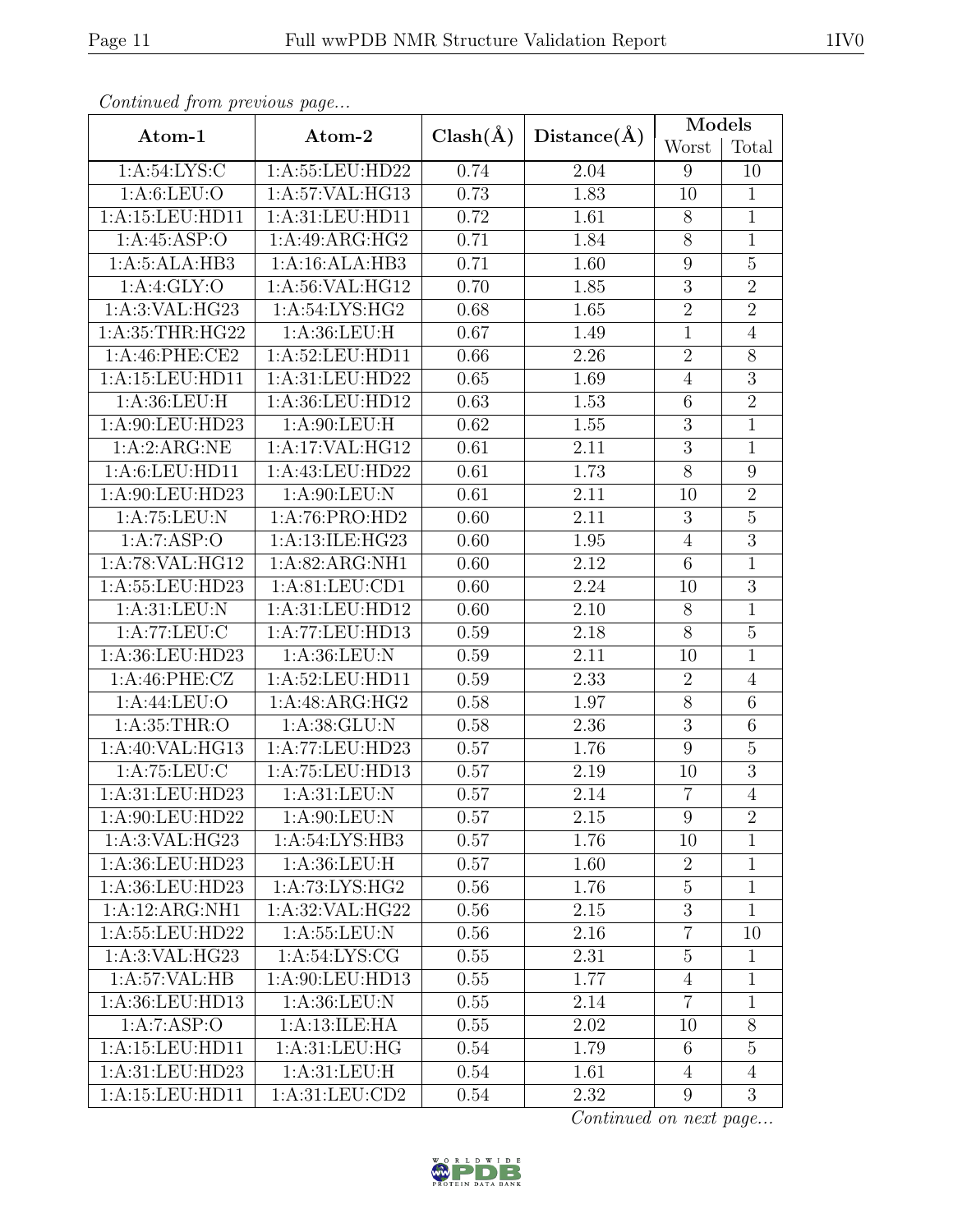| Continueu from pretious page |                   |              |                   | Models           |                |
|------------------------------|-------------------|--------------|-------------------|------------------|----------------|
| Atom-1                       | Atom-2            | $Clash(\AA)$ | Distance(A)       | Worst            | Total          |
| 1: A:54: LYS:C               | 1:A:55:LEU:HD22   | 0.74         | 2.04              | 9                | 10             |
| 1: A:6: LEU:O                | 1:A:57:VAL:HG13   | 0.73         | 1.83              | 10               | $\mathbf{1}$   |
| 1:A:15:LEU:HD11              | 1:A:31:LEU:HD11   | 0.72         | 1.61              | 8                | $\mathbf{1}$   |
| 1:A:45:ASP:O                 | 1:A:49:ARG:HG2    | 0.71         | 1.84              | $8\,$            | $\mathbf{1}$   |
| 1:A:5:ALA:HB3                | 1:A:16:ALA:HB3    | 0.71         | 1.60              | $\boldsymbol{9}$ | $\overline{5}$ |
| 1:A:4:GLY:O                  | 1:A:56:VAL:HG12   | 0.70         | 1.85              | $\overline{3}$   | $\overline{2}$ |
| 1: A:3: VAL: HG23            | 1: A:54: LYS: HG2 | 0.68         | 1.65              | $\overline{2}$   | $\overline{2}$ |
| 1: A:35:THR:HG22             | 1: A:36: LEU:H    | 0.67         | 1.49              | $\mathbf 1$      | $\overline{4}$ |
| 1:A:46:PHE:CE2               | 1:A:52:LEU:HD11   | 0.66         | 2.26              | $\overline{2}$   | 8              |
| 1:A:15:LEU:HD11              | 1:A:31:LEU:HD22   | 0.65         | 1.69              | $\overline{4}$   | $\overline{3}$ |
| 1: A:36:LEU:H                | 1:A:36:LEU:HD12   | 0.63         | $\overline{1.53}$ | $\,6$            | $\overline{2}$ |
| 1:A:90:LEU:HD23              | 1:A:90:LEU:H      | 0.62         | 1.55              | $\sqrt{3}$       | $\mathbf 1$    |
| 1:A:2:ARG:NE                 | 1:A:17:VAL:HG12   | 0.61         | 2.11              | $\overline{3}$   | $\mathbf 1$    |
| 1: A:6: LEU: HD11            | 1:A:43:LEU:HD22   | 0.61         | 1.73              | $\overline{8}$   | $\overline{9}$ |
| 1:A:90:LEU:HD23              | 1:A:90:LEU:N      | 0.61         | 2.11              | 10               | $\overline{2}$ |
| 1:A:75:LEU:N                 | 1:A:76:PRO:HD2    | 0.60         | 2.11              | $\overline{3}$   | $\overline{5}$ |
| 1:A:7:ASP:O                  | 1:A:13:ILE:HG23   | 0.60         | 1.95              | $\overline{4}$   | $\overline{3}$ |
| 1:A:78:VAL:HG12              | 1:A:82:ARG:NH1    | 0.60         | 2.12              | $\overline{6}$   | $\mathbf{1}$   |
| 1:A:55:LEU:HD23              | 1:A:81:LEU:CD1    | 0.60         | 2.24              | 10               | $\overline{3}$ |
| 1: A:31: LEU: N              | 1:A:31:LEU:HD12   | 0.60         | 2.10              | $8\,$            | $\mathbf{1}$   |
| 1:A:77:LEU:C                 | 1:A:77:LEU:HD13   | 0.59         | 2.18              | $8\,$            | $\overline{5}$ |
| 1:A:36:LEU:HD23              | 1: A:36: LEU: N   | 0.59         | 2.11              | 10               | $\mathbf{1}$   |
| 1: A:46:PHE: CZ              | 1: A:52:LEU:HD11  | 0.59         | 2.33              | $\overline{2}$   | $\overline{4}$ |
| 1: A:44:LEU:O                | 1:A:48:ARG:HG2    | 0.58         | 1.97              | $8\,$            | 6              |
| 1: A:35:THR:O                | 1: A:38: GLU: N   | 0.58         | 2.36              | 3                | $\sqrt{6}$     |
| 1:A:40:VAL:HG13              | 1:A:77:LEU:HD23   | 0.57         | 1.76              | $\boldsymbol{9}$ | $\overline{5}$ |
| 1: A:75:LEU: C               | 1:A:75:LEU:HD13   | 0.57         | 2.19              | 10               | $\mathfrak{Z}$ |
| 1:A:31:LEU:HD23              | 1: A:31: LEU: N   | 0.57         | 2.14              | $\overline{7}$   | $\overline{4}$ |
| 1:A:90:LEU:HD22              | 1: A:90: LEU: N   | 0.57         | 2.15              | 9                | $\overline{2}$ |
| 1:A:3:VAL:HG23               | 1: A:54: LYS:HB3  | 0.57         | 1.76              | 10               | $\mathbf{1}$   |
| 1:A:36:LEU:HD23              | 1: A:36: LEU:H    | 0.57         | 1.60              | $\sqrt{2}$       | $\mathbf{1}$   |
| 1:A:36:LEU:HD23              | 1:A:73:LYS:HG2    | 0.56         | 1.76              | $\overline{5}$   | $\mathbf{1}$   |
| 1:A:12:ARG:NH1               | 1: A:32:VAL:HG22  | 0.56         | 2.15              | $\overline{3}$   | $\mathbf{1}$   |
| 1:A:55:LEU:HD22              | 1: A: 55: LEU: N  | 0.56         | $2.16\,$          | $\overline{7}$   | 10             |
| 1:A:3:VAL:HG23               | 1:A:54:LYS:CG     | 0.55         | 2.31              | $\overline{5}$   | $\mathbf{1}$   |
| 1:A:57:VAL:HB                | 1:A:90:LEU:HD13   | 0.55         | 1.77              | $\overline{4}$   | $\mathbf{1}$   |
| 1:A:36:LEU:HD13              | 1: A:36: LEU: N   | 0.55         | 2.14              | $\overline{7}$   | $\mathbf{1}$   |
| 1:A:7:ASP:O                  | 1:A:13:ILE:HA     | 0.55         | 2.02              | 10               | 8              |
| 1:A:15:LEU:HD11              | 1: A:31: LEU: HG  | 0.54         | 1.79              | $6\phantom{.}6$  | $\overline{5}$ |
| 1:A:31:LEU:HD23              | 1: A:31: LEU:H    | 0.54         | 1.61              | $\overline{4}$   | $\overline{4}$ |
| 1:A:15:LEU:HD11              | 1:A:31:LEU:CD2    | 0.54         | 2.32              | 9                | 3              |

Continued from previous page.

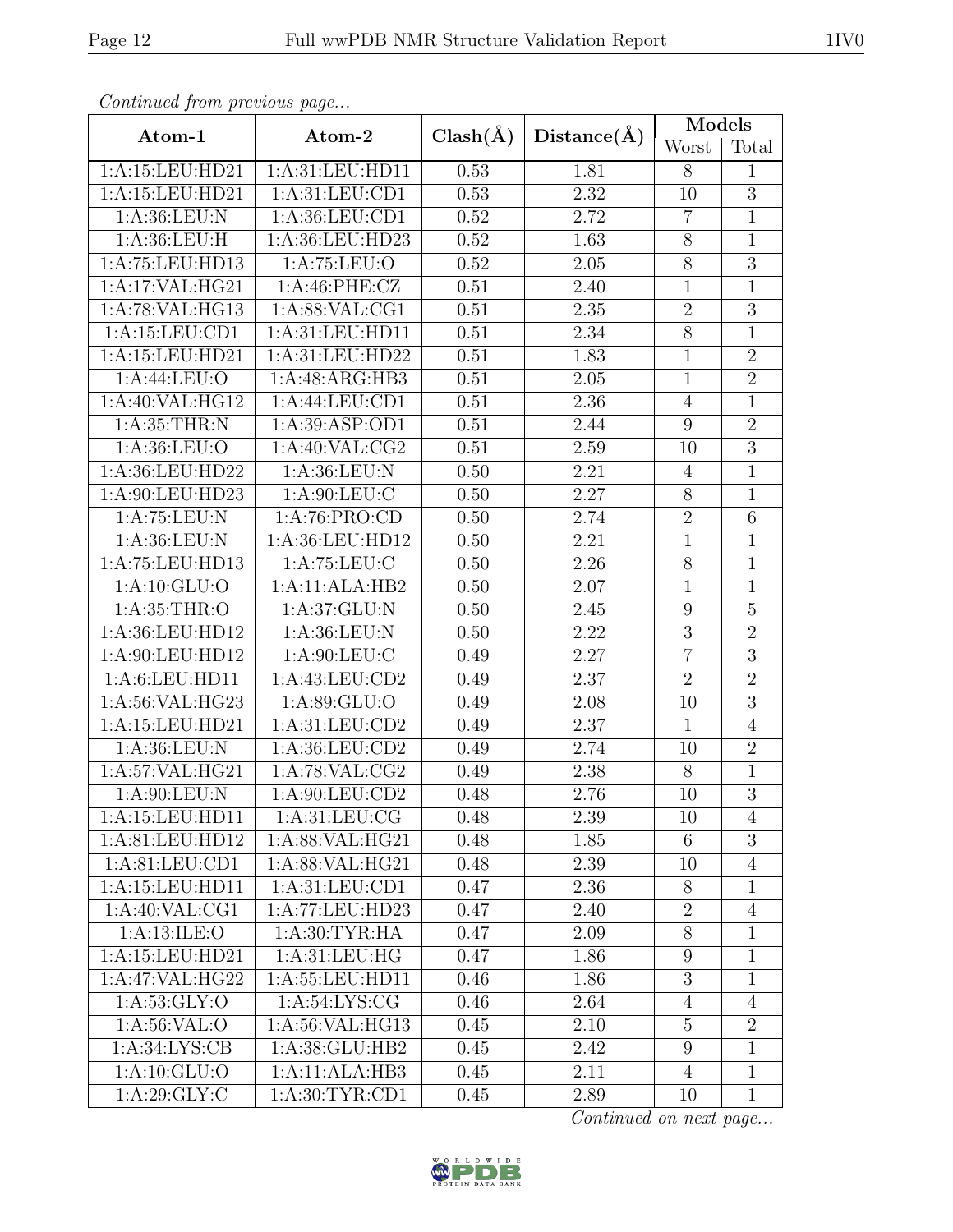| Continued from previous page        |                              | $Clash(\AA)$ |             | Models           |                |
|-------------------------------------|------------------------------|--------------|-------------|------------------|----------------|
| Atom-1                              | Atom-2                       |              | Distance(A) | Worst            | Total          |
| 1:A:15:LEU:HD21                     | 1:A:31:LEU:HD11              |              | 1.81        | 8                | 1              |
| 1:A:15:LEU:HD21                     | 1: A:31: LEU:CD1             |              | 2.32        | 10               | $\overline{3}$ |
| 1: A:36: LEU: N                     | 1:A:36:LEU:CD1               | 0.52         | 2.72        | $\overline{7}$   | $\mathbf{1}$   |
| 1: A:36: LEU:H                      | 1:A:36:LEU:HD23              | 0.52         | 1.63        | $8\,$            | $\mathbf{1}$   |
| 1:A:75:LEU:HD13                     | 1:A:75:LEU:O                 | 0.52         | 2.05        | $8\,$            | $\overline{3}$ |
| 1:A:17:VAL:HG21                     | 1:A:46:PHE:CZ                | 0.51         | 2.40        | $\mathbf{1}$     | $\mathbf{1}$   |
| 1:A:78:VAL:HG13                     | 1: A:88: VAL:CG1             | 0.51         | $2.35\,$    | $\sqrt{2}$       | $\overline{3}$ |
| 1:A:15:LEU:CD1                      | 1: A:31: LEU: HD11           | 0.51         | 2.34        | $8\,$            | $\mathbf{1}$   |
| 1:A:15:LEU:HD21                     | 1:A:31:LEU:HD22              | 0.51         | 1.83        | $\mathbf 1$      | $\overline{2}$ |
| 1: A:44:LEU:O                       | 1:A:48:ARG:HB3               | 0.51         | 2.05        | $\mathbf{1}$     | $\overline{2}$ |
| 1:A:40:VAL:HG12                     | 1:A:44:LEU:CD1               | 0.51         | 2.36        | $\overline{4}$   | $\mathbf{1}$   |
| 1: A:35:THR:N                       | 1: A:39: ASP:OD1             | 0.51         | 2.44        | 9                | $\overline{2}$ |
| 1: A:36: LEU:O                      | 1:A:40:VAL:CG2               | 0.51         | 2.59        | 10               | $\overline{3}$ |
| 1:A:36:LEU:HD22                     | 1:A:36:LEU:N                 | 0.50         | 2.21        | $\overline{4}$   | $\overline{1}$ |
| 1:A:90:LEU:HD23                     | 1: A:90: LEU: C              | 0.50         | 2.27        | $8\,$            | $\mathbf{1}$   |
| 1:A:75:LEU:N                        | 1: A:76: PRO:CD              | 0.50         | 2.74        | $\overline{2}$   | $\overline{6}$ |
| 1: A:36: LEU: N                     | 1:A:36:LEU:HD12              | 0.50         | 2.21        | $\mathbf{1}$     | $\mathbf{1}$   |
| 1:A:75:LEU:HD13                     | 1:A:75:LEU:C                 | 0.50         | 2.26        | $\overline{8}$   | $\mathbf{1}$   |
| 1: A: 10: GLU: O                    | 1:A:11:ALA:HB2               | 0.50         | 2.07        | $\mathbf{1}$     | $\overline{1}$ |
| 1: A:35:THR:O                       | 1:A:37:GLU:N                 | 0.50         | 2.45        | 9                | $\overline{5}$ |
| 1:A:36:LEU:HD12                     | 1:A:36:LEU:N                 | 0.50         | 2.22        | $\overline{3}$   | $\overline{2}$ |
| 1:A:90:LEU:HD12                     | 1: A:90: LEU: C              | 0.49         | 2.27        | $\overline{7}$   | $\overline{3}$ |
| 1:A:6:LEU:HD11                      | 1:A:43:LEU:CD2               | 0.49         | 2.37        | $\overline{2}$   | $\overline{2}$ |
| 1:A:56:VAL:HG23                     | 1: A:89: GLU:O               | 0.49         | 2.08        | 10               | $\overline{3}$ |
| 1:A:15:LEU:HD21                     | 1: A:31: LEU:CD2             | 0.49         | 2.37        | $\mathbf{1}$     | $\overline{4}$ |
| 1:A:36:LEU:N                        | 1:A:36:LEU:CD2               | 0.49         | 2.74        | 10               | $\overline{2}$ |
| 1:A:57:VAL:HG21                     | 1:A:78:VAL:CG2               | 0.49         | 2.38        | 8                | $\mathbf{1}$   |
| 1: A:90: LEU: N                     | 1: A:90: L <sub>EU:CD2</sub> | 0.48         | 2.76        | 10               | $\overline{3}$ |
| 1:A:15:LEU:HD11                     | 1: A:31: LEU: CG             | 0.48         | 2.39        | 10               | 4              |
| 1:A:81:LEU:HD12                     | 1: A:88: VAL: HG21           | 0.48         | 1.85        | 6                | 3              |
| 1: A:81: LEU:CD1                    | 1:A:88:VAL:HG21              | 0.48         | 2.39        | 10               | $\overline{4}$ |
| 1:A:15:LEU:HD11                     | 1:A:31:LEU:CD1               | 0.47         | 2.36        | 8                | $\mathbf{1}$   |
| 1:A:40:VAL:CG1                      | 1:A:77:LEU:HD23              | 0.47         | 2.40        | $\boldsymbol{2}$ | $\overline{4}$ |
| 1: A:13: ILE: O                     | 1: A:30: TYR: HA             | 0.47         | 2.09        | $8\,$            | $\mathbf{1}$   |
| 1:A:15:LEU:HD21                     | 1: A:31: LEU: HG             | 0.47         | 1.86        | 9                | $\mathbf{1}$   |
| 1:A:47:VAL:HG22                     | 1:A:55:LEU:HD11              | 0.46         | 1.86        | $\overline{3}$   | $\mathbf{1}$   |
| 1: A:53: GLY:O                      | 1:A:54:LYS:CG                | 0.46         | 2.64        | $\overline{4}$   | $\overline{4}$ |
| 1: A:56: VAL:O                      | 1:A:56:VAL:HG13              | 0.45         | $2.10\,$    | $\overline{5}$   | $\overline{2}$ |
| 1: A:34: LYS: CB                    | 1:A:38:GLU:HB2               |              | 2.42        | 9                | $\mathbf{1}$   |
| 1: A: 10: GLU:O                     | 1:A:11:ALA:HB3               | 0.45         | 2.11        | $\overline{4}$   | $\mathbf{1}$   |
| 1: A:29: GLY: C<br>1: A:30: TYR:CD1 |                              | 0.45         | 2.89        | 10               | $\mathbf{1}$   |

Continued from previous page.

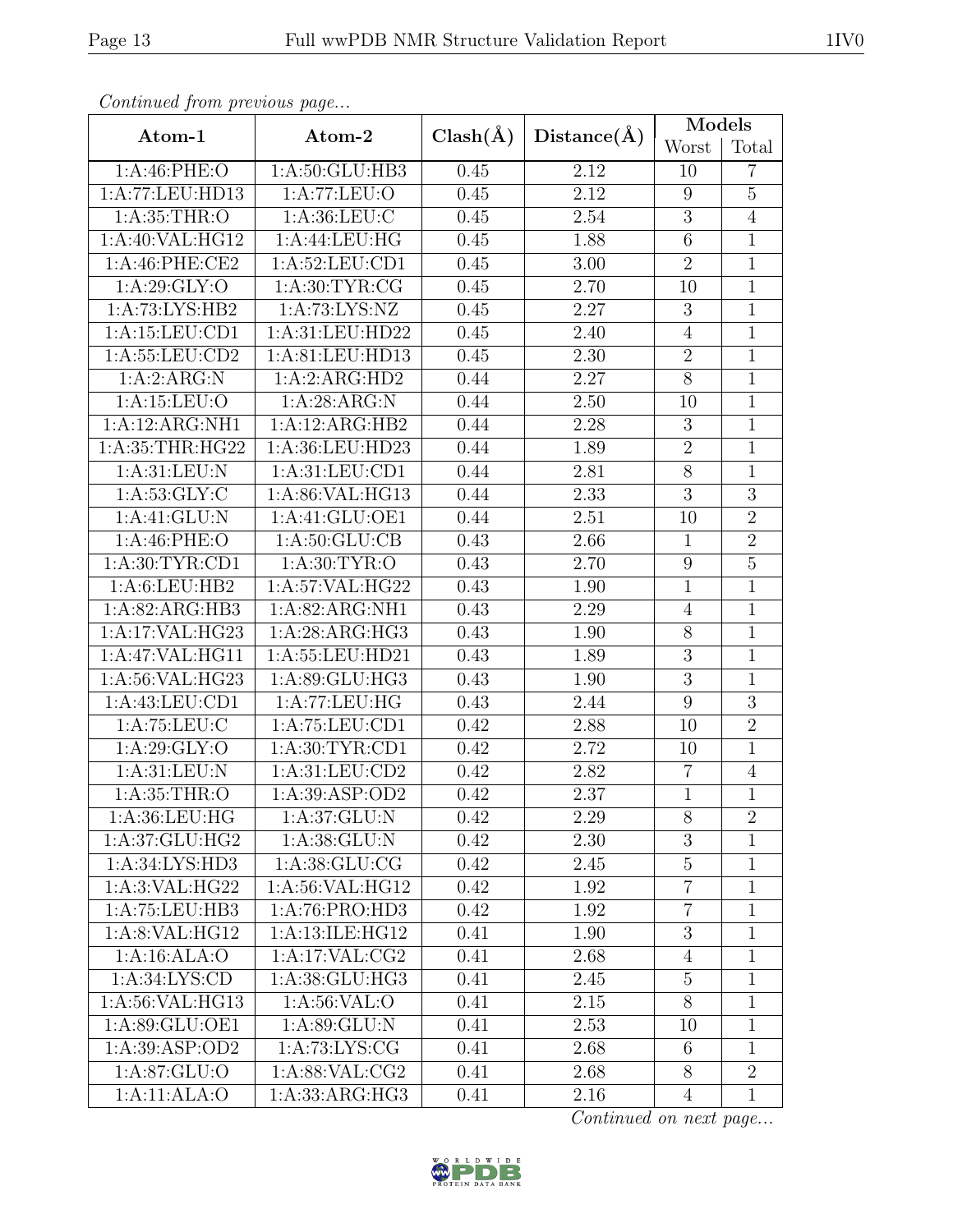| Continual from pretious page |                                      |              |                   | Models          |                |
|------------------------------|--------------------------------------|--------------|-------------------|-----------------|----------------|
| Atom-1                       | Atom-2                               | $Clash(\AA)$ | Distance(A)       | Worst           | Total          |
| 1: A:46: PHE:O               | 1: A:50: GLU:HB3                     | 0.45         | 2.12              | 10              | $\overline{7}$ |
| 1:A:77:LEU:HD13              | 1:A:77:LEU:O                         |              | 2.12              | 9               | $\overline{5}$ |
| 1: A:35:THR:O                | 1: A:36: LEU: C                      | 0.45         | 2.54              | $\sqrt{3}$      | $\overline{4}$ |
| 1:A:40:VAL:HG12              | 1:A:44:LEU:HG                        | 0.45         | 1.88              | $6\phantom{.}6$ | $\mathbf{1}$   |
| 1:A:46:PHE:CE2               | 1: A:52: LEU: CD1                    | 0.45         | 3.00              | $\overline{2}$  | $\mathbf{1}$   |
| 1: A:29: GLY:O               | 1: A:30: TYR: CG                     | 0.45         | 2.70              | 10              | $\overline{1}$ |
| $1:A:\overline{73:LYS:HB2}$  | 1:A:73:LYS:NZ                        | 0.45         | 2.27              | $\sqrt{3}$      | $\overline{1}$ |
| 1:A:15:LEU:CD1               | 1:A:31:LEU:HD22                      | 0.45         | 2.40              | $\overline{4}$  | $\mathbf{1}$   |
| 1:A:55:LEU:CD2               | 1:A:81:LEU:HD13                      | 0.45         | 2.30              | $\overline{2}$  | $\overline{1}$ |
| 1:A:2:ARG:N                  | 1:A:2:ARG:HD2                        | 0.44         | 2.27              | $8\,$           | $\mathbf{1}$   |
| 1:A:15:LEU:O                 | 1:A:28:ARG:N                         | 0.44         | 2.50              | 10              | $\overline{1}$ |
| 1:A:12:ARG:NH1               | 1:A:12:ARG:HB2                       | 0.44         | 2.28              | $\sqrt{3}$      | $\mathbf 1$    |
| 1: A:35:THR:HG22             | 1:A:36:LEU:HD23                      | 0.44         | 1.89              | $\overline{2}$  | $\mathbf{1}$   |
| 1: A:31: LEU: N              | 1: A:31: LEU:CD1                     | 0.44         | 2.81              | $\overline{8}$  | $\mathbf{1}$   |
| 1: A:53: GLY: C              | 1:A:86:VAL:HG13                      | 0.44         | 2.33              | 3               | $\overline{3}$ |
| 1:A:41:GLU:N                 | $1:A:41:G\overline{\mathrm{LU:OE1}}$ | 0.44         | 2.51              | 10              | $\overline{2}$ |
| 1: A:46:PHE:O                | 1: A:50: GLU:CB                      | 0.43         | 2.66              | $\mathbf{1}$    | $\overline{2}$ |
| 1: A:30: TYR: CD1            | 1: A:30: TYR:O                       | 0.43         | 2.70              | $9\,$           | $\overline{5}$ |
| 1: A:6: LEU: HB2             | 1:A:57:VAL:HG22                      | 0.43         | 1.90              | $\mathbf{1}$    | $\mathbf{1}$   |
| 1:A:82:ARG:HB3               | 1:A:82:ARG:NH1                       | 0.43         | 2.29              | $\overline{4}$  | $\mathbf{1}$   |
| 1:A:17:VAL:HG23              | 1:A:28:ARG:HG3                       |              | 1.90              | $8\,$           | $\mathbf{1}$   |
| 1:A:47:VAL:HG11              | 1:A:55:LEU:HD21                      | 0.43         | 1.89              | $\sqrt{3}$      | $\mathbf{1}$   |
| 1:A:56:VAL:HG23              | 1:A:89:GLU:HG3                       | 0.43         | 1.90              | $\overline{3}$  | $\mathbf{1}$   |
| 1:A:43:LEU:CD1               | 1:A:77:LEU:HG                        | 0.43         | 2.44              | 9               | 3              |
| 1: A:75:LEU:C                | 1:A:75:LEU:CD1                       | 0.42         | 2.88              | 10              | $\overline{2}$ |
| 1: A:29: GLY:O               | 1: A:30: TYR:CD1                     | 0.42         | 2.72              | 10              | $\overline{1}$ |
| 1: A:31: LEU: N              | 1: A:31: LEU:CD2                     | 0.42         | 2.82              | 7               | $\overline{4}$ |
| 1: A:35:THR:O                | 1:A:39:ASP:OD2                       | 0.42         | $\overline{2.37}$ | $\overline{1}$  | $\overline{1}$ |
| 1: A:36: LEU: HG             | 1: A:37: GLU: N                      | 0.42         | 2.29              | 8               | $\overline{2}$ |
| 1:A:37:GLU:HG2               | 1: A:38: GLU: N                      | 0.42         | 2.30              | 3               | $\mathbf{1}$   |
| 1:A:34:LYS:HD3               | 1: A:38: GLU: CG                     | 0.42         | 2.45              | $\overline{5}$  | $\mathbf{1}$   |
| 1:A:3:VAL:HG22               | 1:A:56:VAL:HG12                      | 0.42         | 1.92              | $\overline{7}$  | $\mathbf{1}$   |
| 1:A:75:LEU:HB3               | 1:A:76:PRO:HD3                       | 0.42         | 1.92              | $\overline{7}$  | $\mathbf{1}$   |
| 1:A:8:VAL:HG12               | 1:A:13:ILE:HG12                      | 0.41         | 1.90              | $\mathbf{3}$    | $\mathbf{1}$   |
| 1:A:16:ALA:O                 | 1:A:17:VAL:CG2                       | 0.41         | 2.68              | $\overline{4}$  | $\mathbf{1}$   |
| 1: A:34: LYS: CD             | 1:A:38:GLU:HG3                       | 0.41         | 2.45              | $\overline{5}$  | $\mathbf 1$    |
| 1:A:56:VAL:HG13              | 1: A:56: VAL:O                       | 0.41         | 2.15              | $8\,$           | $\mathbf{1}$   |
| 1:A:89:GLU:OE1               | 1: A:89: GLU: N                      | 0.41         | 2.53              | 10              | $\mathbf{1}$   |
| 1:A:39:ASP:OD2               | 1: A:73: LYS: CG                     | 0.41         | 2.68              | 6               | $\mathbf{1}$   |
| 1: A:87: GLU:O               | 1:A:88:VAL:CG2                       | 0.41         | 2.68              | 8               | $\overline{2}$ |
| 1:A:11:ALA:O                 | 1: A: 33: ARG: HG3                   | 0.41         | 2.16              | $\overline{4}$  | $\mathbf{1}$   |

Continued from previous page.

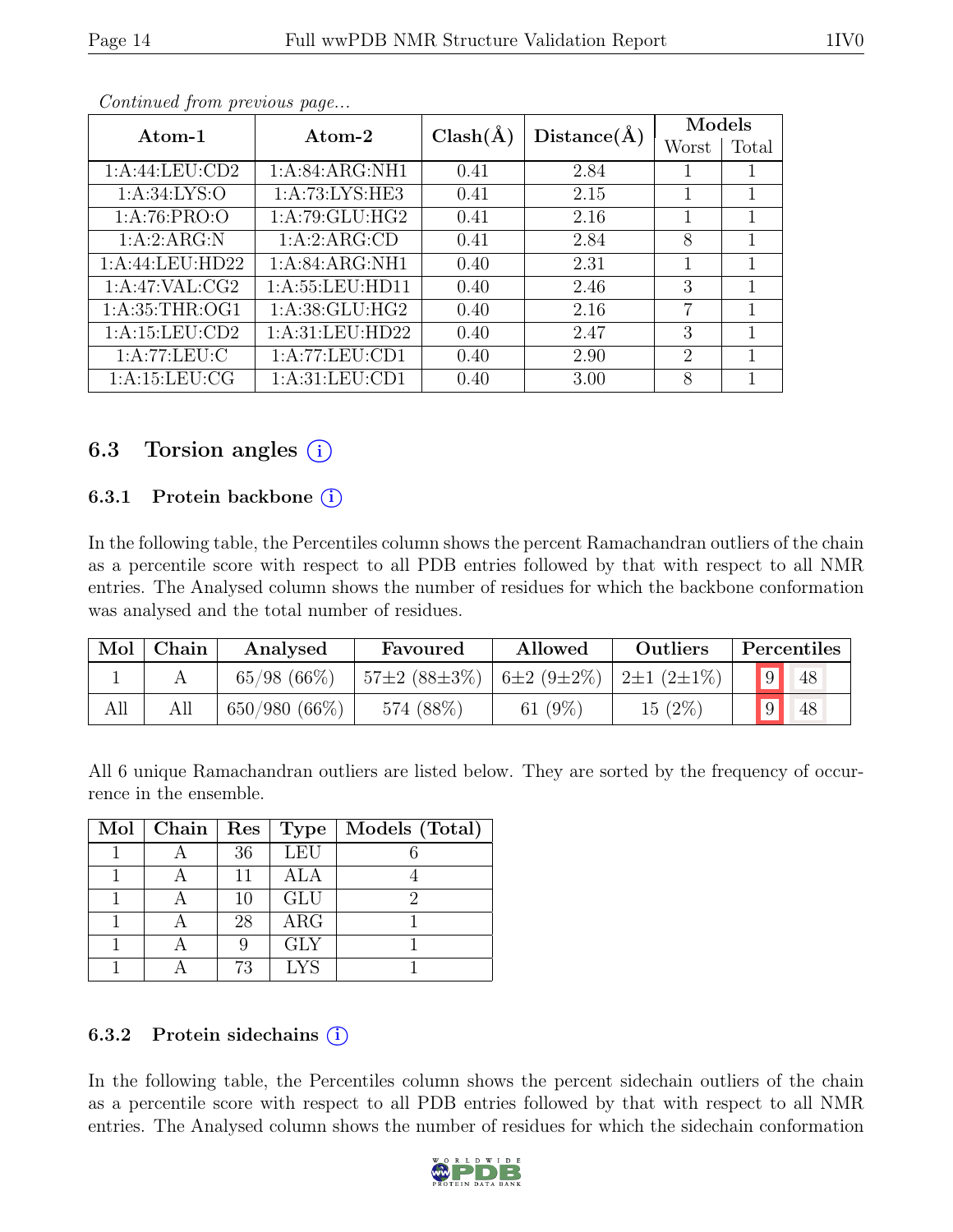| Atom-1           | Atom-2            | $Clash(\AA)$ | Distance(A) | Models         |       |
|------------------|-------------------|--------------|-------------|----------------|-------|
|                  |                   |              |             | Worst          | Total |
| 1: A:44:LEU:CD2  | 1:A:84:ARG:NH1    | 0.41         | 2.84        |                | 1     |
| 1: A:34: LYS:O   | 1: A:73: LYS: HE3 | 0.41         | 2.15        |                | 1     |
| 1: A:76: PRO:O   | 1: A:79: GLU: HG2 | 0.41         | 2.16        |                | 1     |
| 1:A:2:ARG:N      | 1:A:2:ARG:CD      | 0.41         | 2.84        | 8              | 1     |
| 1:A:44:LEU:HD22  | 1:A:84:ARG:NH1    | 0.40         | 2.31        |                | 1     |
| 1:A:47:VAL:CG2   | 1: A:55:LEU:HD11  | 0.40         | 2.46        | 3              | 1     |
| 1: A:35:THR:OG1  | 1: A:38: GLU: HG2 | 0.40         | 2.16        | 7              | 1     |
| 1:A:15:LEU:CD2   | 1: A:31: LEU:HD22 | 0.40         | 2.47        | 3              | 1     |
| 1: A:77:LEU: C   | 1:A:77:LEU:CD1    | 0.40         | 2.90        | $\overline{2}$ | 1     |
| 1: A:15: LEU: CG | 1: A:31: LEU:CD1  | 0.40         | 3.00        | 8              | 1     |

Continued from previous page...

#### 6.3 Torsion angles  $(i)$

#### 6.3.1 Protein backbone  $(i)$

In the following table, the Percentiles column shows the percent Ramachandran outliers of the chain as a percentile score with respect to all PDB entries followed by that with respect to all NMR entries. The Analysed column shows the number of residues for which the backbone conformation was analysed and the total number of residues.

| Mol | Chain | Analysed        | Favoured            | Outliers<br>Allowed          |        | Percentiles |    |
|-----|-------|-----------------|---------------------|------------------------------|--------|-------------|----|
|     |       | 65/98(66%)      | $157\pm2(88\pm3\%)$ | $6\pm2(9\pm2\%)$ 2±1 (2±1\%) |        |             | 48 |
| All |       | $650/980(66\%)$ | 574 (88%)           | 61 $(9\%)$                   | 15(2%) |             | 48 |

All 6 unique Ramachandran outliers are listed below. They are sorted by the frequency of occurrence in the ensemble.

| $Mol$   Chain   Res |    | Type       | Models (Total) |
|---------------------|----|------------|----------------|
|                     | 36 | <b>LEU</b> |                |
|                     | 11 | <b>ALA</b> |                |
|                     | 10 | <b>GLU</b> |                |
|                     | 28 | ARG        |                |
|                     |    | <b>GLY</b> |                |
|                     | 73 | <b>LYS</b> |                |

#### 6.3.2 Protein sidechains  $(i)$

In the following table, the Percentiles column shows the percent sidechain outliers of the chain as a percentile score with respect to all PDB entries followed by that with respect to all NMR entries. The Analysed column shows the number of residues for which the sidechain conformation

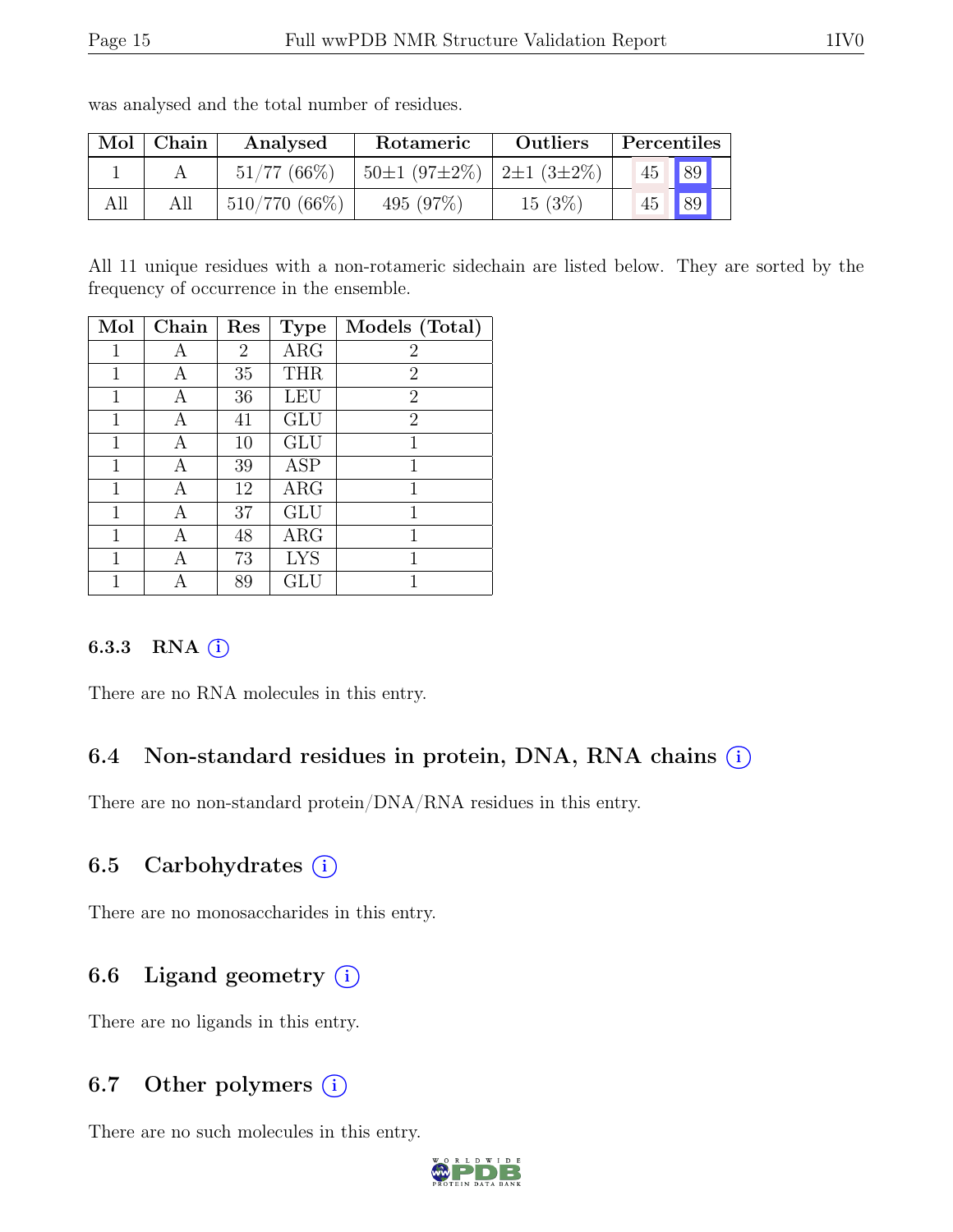| Mol | Chain | Analysed        | Rotameric                              | <b>Outliers</b> | Percentiles |             |
|-----|-------|-----------------|----------------------------------------|-----------------|-------------|-------------|
|     |       | $51/77(66\%)$   | $50\pm1(97\pm2\%)$   2 $\pm1(3\pm2\%)$ |                 | 45          | $\sqrt{89}$ |
| All |       | $510/770(66\%)$ | 495 $(97\%)$                           | 15(3%)          | 45          | 89          |

was analysed and the total number of residues.

All 11 unique residues with a non-rotameric sidechain are listed below. They are sorted by the frequency of occurrence in the ensemble.

| Mol          | Chain | Res | <b>Type</b> | Models (Total) |
|--------------|-------|-----|-------------|----------------|
| 1            | А     | 2   | ARG         | 2              |
| 1            | A     | 35  | <b>THR</b>  | 2              |
| $\mathbf{1}$ | А     | 36  | LEU         | $\overline{2}$ |
| 1            | А     | 41  | <b>GLU</b>  | $\overline{2}$ |
| 1            | А     | 10  | GLU         | 1              |
| 1            | А     | 39  | <b>ASP</b>  | 1              |
| $\mathbf{1}$ | А     | 12  | $\rm{ARG}$  | 1              |
| 1            | A     | 37  | GLU         | 1              |
| 1            | A     | 48  | ARG         | 1              |
| 1            | А     | 73  | <b>LYS</b>  | 1              |
|              |       | 89  | GLU         |                |

#### 6.3.3 RNA  $(i)$

There are no RNA molecules in this entry.

#### 6.4 Non-standard residues in protein, DNA, RNA chains  $(i)$

There are no non-standard protein/DNA/RNA residues in this entry.

#### 6.5 Carbohydrates  $(i)$

There are no monosaccharides in this entry.

#### 6.6 Ligand geometry  $(i)$

There are no ligands in this entry.

#### 6.7 Other polymers  $(i)$

There are no such molecules in this entry.

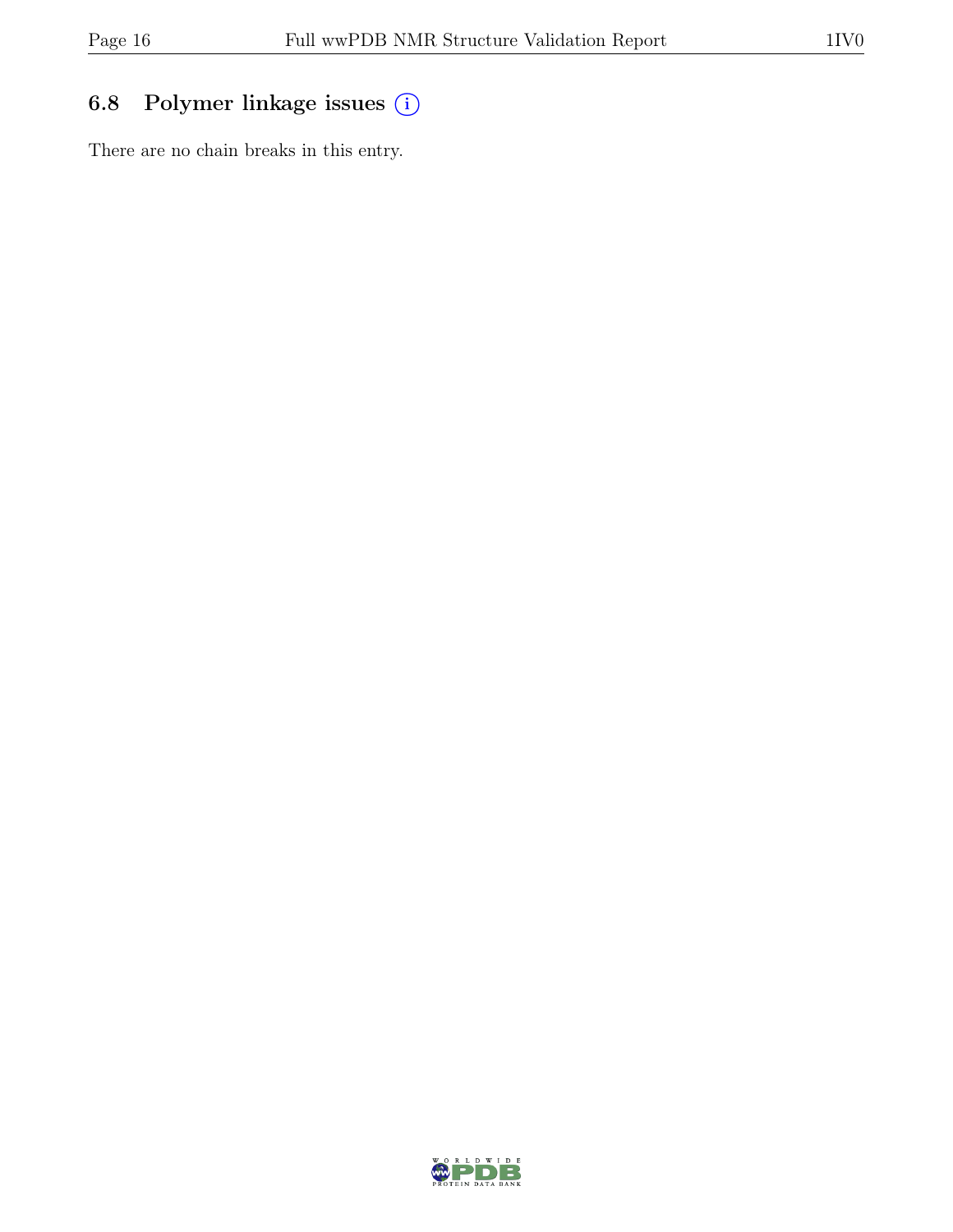## 6.8 Polymer linkage issues (i)

There are no chain breaks in this entry.